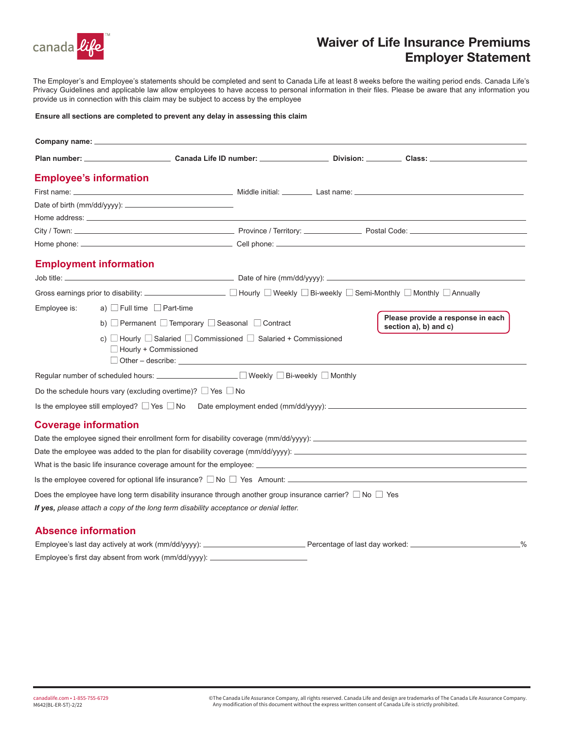

## Waiver of Life Insurance Premiums Employer Statement

The Employer's and Employee's statements should be completed and sent to Canada Life at least 8 weeks before the waiting period ends. Canada Life's Privacy Guidelines and applicable law allow employees to have access to personal information in their files. Please be aware that any information you provide us in connection with this claim may be subject to access by the employee

#### **Ensure all sections are completed to prevent any delay in assessing this claim**

|                             | <b>Employee's information</b>                                         |                                                                                                                                                                                                                                                        |                                                            |
|-----------------------------|-----------------------------------------------------------------------|--------------------------------------------------------------------------------------------------------------------------------------------------------------------------------------------------------------------------------------------------------|------------------------------------------------------------|
|                             |                                                                       |                                                                                                                                                                                                                                                        |                                                            |
|                             |                                                                       |                                                                                                                                                                                                                                                        |                                                            |
|                             |                                                                       |                                                                                                                                                                                                                                                        |                                                            |
|                             |                                                                       |                                                                                                                                                                                                                                                        |                                                            |
|                             |                                                                       |                                                                                                                                                                                                                                                        |                                                            |
|                             | <b>Employment information</b>                                         |                                                                                                                                                                                                                                                        |                                                            |
|                             |                                                                       |                                                                                                                                                                                                                                                        |                                                            |
|                             |                                                                       | Gross earnings prior to disability:<br>■ Hourly □ Weekly □ Bi-weekly □ Semi-Monthly □ Monthly □ Annually                                                                                                                                               |                                                            |
| Employee is:                | a) Full time $\Box$ Part-time                                         |                                                                                                                                                                                                                                                        |                                                            |
|                             |                                                                       | b) Permanent $\Box$ Temporary $\Box$ Seasonal $\Box$ Contract                                                                                                                                                                                          | Please provide a response in each<br>section a), b) and c) |
|                             | $\Box$ Hourly + Commissioned                                          | c) $\Box$ Hourly $\Box$ Salaried $\Box$ Commissioned $\Box$ Salaried + Commissioned<br>$\Box$ Other – describe: $\Box$                                                                                                                                 |                                                            |
|                             |                                                                       | Regular number of scheduled hours: ______________________ □ Weekly □ Bi-weekly □ Monthly                                                                                                                                                               |                                                            |
|                             | Do the schedule hours vary (excluding overtime)? $\Box$ Yes $\Box$ No |                                                                                                                                                                                                                                                        |                                                            |
|                             |                                                                       | Is the employee still employed? $\Box$ Yes $\Box$ No Date employment ended (mm/dd/yyyy): $\Box$                                                                                                                                                        |                                                            |
| <b>Coverage information</b> |                                                                       |                                                                                                                                                                                                                                                        |                                                            |
|                             |                                                                       |                                                                                                                                                                                                                                                        |                                                            |
|                             |                                                                       | Date the employee was added to the plan for disability coverage $\frac{\text{mm}}{\text{d}yyyy}$ :                                                                                                                                                     |                                                            |
|                             |                                                                       |                                                                                                                                                                                                                                                        |                                                            |
|                             |                                                                       | Is the employee covered for optional life insurance? $\Box$ No $\Box$ Yes Amount: $\Box$ Amount: $\Box$ Amount: $\Box$ Amount: $\Box$ Amount: $\Box$ Amount: $\Box$ Amount: $\Box$ Amount: $\Box$ Amount: $\Box$ Amount: $\Box$ Amount: $\Box$ Amount: |                                                            |
|                             |                                                                       | Does the employee have long term disability insurance through another group insurance carrier? $\Box$ No $\Box$ Yes                                                                                                                                    |                                                            |
|                             |                                                                       | If yes, please attach a copy of the long term disability acceptance or denial letter.                                                                                                                                                                  |                                                            |
| <b>Absence information</b>  |                                                                       |                                                                                                                                                                                                                                                        |                                                            |

### Employee's last day actively at work (mm/dd/yyyy): \_\_\_\_\_\_\_\_\_\_\_\_\_\_\_\_\_\_\_\_\_\_\_\_\_\_\_\_Percentage of last day worked: \_\_\_\_\_\_\_\_\_\_\_\_\_\_\_\_\_\_\_\_% Employee's first day absent from work (mm/dd/yyyy):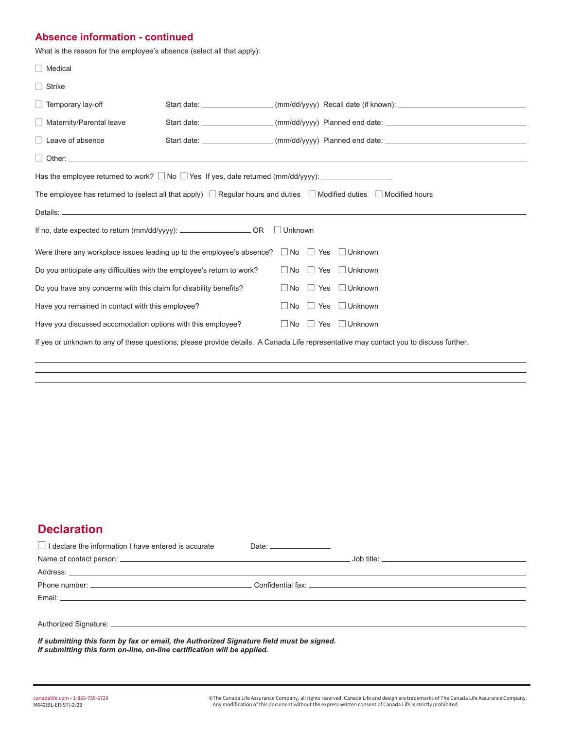### **Absence information - continued**

What is the reason for the employee's absence (select all that apply):

| $\Box$ Medical                                                                                                                        |  |  |  |                                                                                                      |  |  |
|---------------------------------------------------------------------------------------------------------------------------------------|--|--|--|------------------------------------------------------------------------------------------------------|--|--|
| $\Box$ Strike                                                                                                                         |  |  |  |                                                                                                      |  |  |
| $\Box$ Temporary lay-off                                                                                                              |  |  |  | Start date: ______________________(mm/dd/yyyy) Recall date (if known): _____________________________ |  |  |
| $\Box$ Maternity/Parental leave                                                                                                       |  |  |  | Start date: ____________________ (mm/dd/yyyy) Planned end date: ___________________________________  |  |  |
| $\Box$ Leave of absence                                                                                                               |  |  |  | Start date: ______________________(mm/dd/yyyy) Planned end date: ___________________________________ |  |  |
| Other:                                                                                                                                |  |  |  |                                                                                                      |  |  |
| Has the employee returned to work? $\Box$ No $\Box$ Yes If yes, date returned (mm/dd/yyyy): $\Box$                                    |  |  |  |                                                                                                      |  |  |
| The employee has returned to (select all that apply) $\Box$ Regular hours and duties $\Box$ Modified duties $\Box$ Modified hours     |  |  |  |                                                                                                      |  |  |
|                                                                                                                                       |  |  |  |                                                                                                      |  |  |
| If no, date expected to return (mm/dd/yyyy): _________________________ OR<br>$\Box$ Unknown                                           |  |  |  |                                                                                                      |  |  |
| Were there any workplace issues leading up to the employee's absence? $\Box$ No $\Box$ Yes $\Box$ Unknown                             |  |  |  |                                                                                                      |  |  |
| $\Box$ No $\Box$ Yes<br>Do you anticipate any difficulties with the employee's return to work?<br>$\Box$ Unknown                      |  |  |  |                                                                                                      |  |  |
| Do you have any concerns with this claim for disability benefits?<br>$\Box$ Yes<br>$\Box$ Unknown<br>$\Box$ No                        |  |  |  |                                                                                                      |  |  |
| Have you remained in contact with this employee?<br>$\Box$ Unknown<br>$\Box$ No $\Box$ Yes                                            |  |  |  |                                                                                                      |  |  |
| Have you discussed accomodation options with this employee?<br>$\Box$ No $\Box$ Yes<br>$\Box$ Unknown                                 |  |  |  |                                                                                                      |  |  |
| If yes or unknown to any of these questions, please provide details. A Canada Life representative may contact you to discuss further. |  |  |  |                                                                                                      |  |  |

## **Declaration**

| I declare the information I have entered is accurate                                                                                                                                                                          | Date: $\qquad \qquad$ |  |  |  |  |  |
|-------------------------------------------------------------------------------------------------------------------------------------------------------------------------------------------------------------------------------|-----------------------|--|--|--|--|--|
|                                                                                                                                                                                                                               |                       |  |  |  |  |  |
|                                                                                                                                                                                                                               |                       |  |  |  |  |  |
|                                                                                                                                                                                                                               |                       |  |  |  |  |  |
| Email: Email: Executive Contract Contract Contract Contract Contract Contract Contract Contract Contract Contract Contract Contract Contract Contract Contract Contract Contract Contract Contract Contract Contract Contract |                       |  |  |  |  |  |
|                                                                                                                                                                                                                               |                       |  |  |  |  |  |
|                                                                                                                                                                                                                               |                       |  |  |  |  |  |
| If submitting this form by fax or email, the Authorized Signature field must be signed.<br>If submitting this form on-line, on-line certification will be applied.                                                            |                       |  |  |  |  |  |

canadalife.com • 1-855-755-6729 © The Canada Life Assurance Company, all rights reserved. Canada Life and design are trademarks of The Canada Life Assurance Company. M642(BL-ER-ST)-2/22 Any modification of this document without the express written consent of Canada Life is strictly prohibited.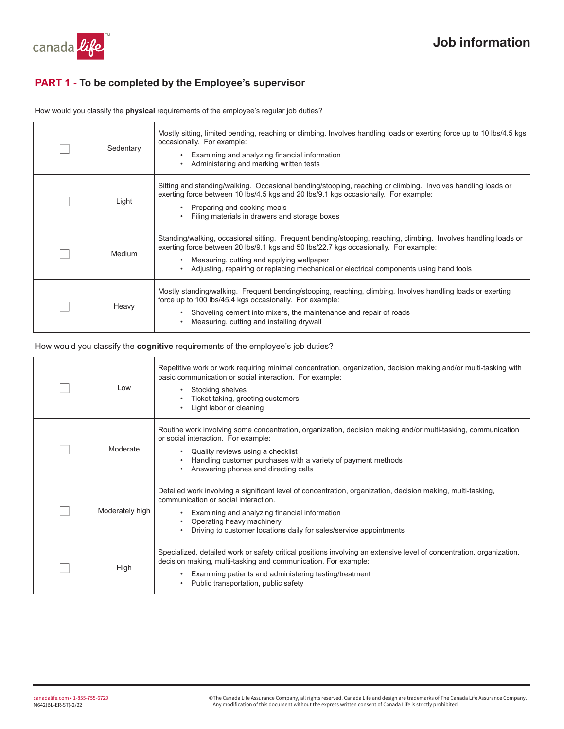

### **PART 1 - To be completed by the Employee's supervisor**

How would you classify the **physical** requirements of the employee's regular job duties?

| Sedentary | Mostly sitting, limited bending, reaching or climbing. Involves handling loads or exerting force up to 10 lbs/4.5 kgs<br>occasionally. For example:<br>Examining and analyzing financial information<br>Administering and marking written tests<br>٠                                                                                           |
|-----------|------------------------------------------------------------------------------------------------------------------------------------------------------------------------------------------------------------------------------------------------------------------------------------------------------------------------------------------------|
| Light     | Sitting and standing/walking. Occasional bending/stooping, reaching or climbing. Involves handling loads or<br>exerting force between 10 lbs/4.5 kgs and 20 lbs/9.1 kgs occasionally. For example:<br>Preparing and cooking meals<br>Filing materials in drawers and storage boxes                                                             |
| Medium    | Standing/walking, occasional sitting. Frequent bending/stooping, reaching, climbing. Involves handling loads or<br>exerting force between 20 lbs/9.1 kgs and 50 lbs/22.7 kgs occasionally. For example:<br>Measuring, cutting and applying wallpaper<br>Adjusting, repairing or replacing mechanical or electrical components using hand tools |
| Heavy     | Mostly standing/walking. Frequent bending/stooping, reaching, climbing. Involves handling loads or exerting<br>force up to 100 lbs/45.4 kgs occasionally. For example:<br>Shoveling cement into mixers, the maintenance and repair of roads<br>Measuring, cutting and installing drywall                                                       |

#### How would you classify the **cognitive** requirements of the employee's job duties?

| Low             | Repetitive work or work requiring minimal concentration, organization, decision making and/or multi-tasking with<br>basic communication or social interaction. For example:<br>Stocking shelves<br>Ticket taking, greeting customers<br>Light labor or cleaning                                         |
|-----------------|---------------------------------------------------------------------------------------------------------------------------------------------------------------------------------------------------------------------------------------------------------------------------------------------------------|
| Moderate        | Routine work involving some concentration, organization, decision making and/or multi-tasking, communication<br>or social interaction. For example:<br>Quality reviews using a checklist<br>Handling customer purchases with a variety of payment methods<br>Answering phones and directing calls       |
| Moderately high | Detailed work involving a significant level of concentration, organization, decision making, multi-tasking,<br>communication or social interaction.<br>Examining and analyzing financial information<br>Operating heavy machinery<br>Driving to customer locations daily for sales/service appointments |
| High            | Specialized, detailed work or safety critical positions involving an extensive level of concentration, organization,<br>decision making, multi-tasking and communication. For example:<br>Examining patients and administering testing/treatment<br>Public transportation, public safety                |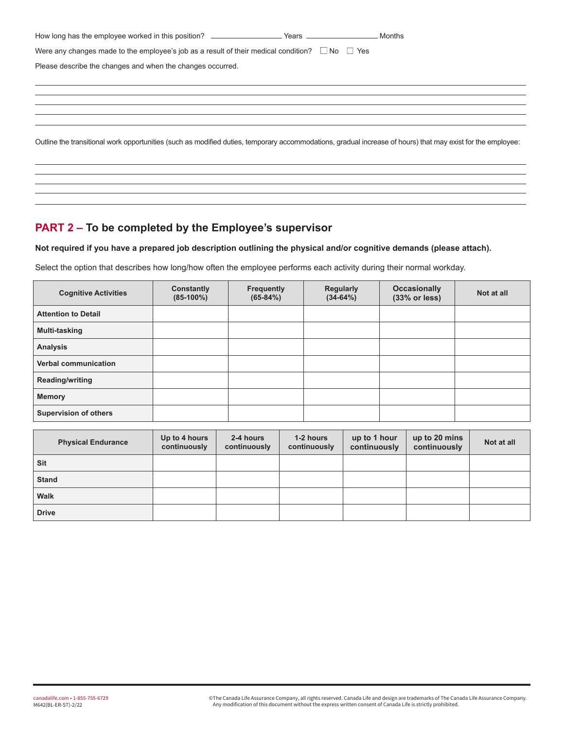| Were any changes made to the employee's job as a result of their medical condition? $\Box$ No $\Box$ Yes                                                    |  |
|-------------------------------------------------------------------------------------------------------------------------------------------------------------|--|
| Please describe the changes and when the changes occurred.                                                                                                  |  |
|                                                                                                                                                             |  |
|                                                                                                                                                             |  |
|                                                                                                                                                             |  |
|                                                                                                                                                             |  |
| Outline the transitional work opportunities (such as modified duties, temporary accommodations, gradual increase of hours) that may exist for the employee: |  |

## **PART 2 – To be completed by the Employee's supervisor**

**Not required if you have a prepared job description outlining the physical and/or cognitive demands (please attach).** 

Select the option that describes how long/how often the employee performs each activity during their normal workday.

| <b>Cognitive Activities</b>  | Constantly<br>$(85-100\%)$ | <b>Frequently</b><br>$(65-84%)$ | <b>Regularly</b><br>$(34-64%)$ | <b>Occasionally</b><br>(33% or less) | Not at all |
|------------------------------|----------------------------|---------------------------------|--------------------------------|--------------------------------------|------------|
| <b>Attention to Detail</b>   |                            |                                 |                                |                                      |            |
| Multi-tasking                |                            |                                 |                                |                                      |            |
| <b>Analysis</b>              |                            |                                 |                                |                                      |            |
| Verbal communication         |                            |                                 |                                |                                      |            |
| <b>Reading/writing</b>       |                            |                                 |                                |                                      |            |
| <b>Memory</b>                |                            |                                 |                                |                                      |            |
| <b>Supervision of others</b> |                            |                                 |                                |                                      |            |

| <b>Physical Endurance</b> | Up to 4 hours<br>continuously | 2-4 hours<br>continuously | 1-2 hours<br>continuously | up to 1 hour<br>continuously | up to 20 mins<br>continuously | Not at all |
|---------------------------|-------------------------------|---------------------------|---------------------------|------------------------------|-------------------------------|------------|
| <b>Sit</b>                |                               |                           |                           |                              |                               |            |
| <b>Stand</b>              |                               |                           |                           |                              |                               |            |
| <b>Walk</b>               |                               |                           |                           |                              |                               |            |
| <b>Drive</b>              |                               |                           |                           |                              |                               |            |